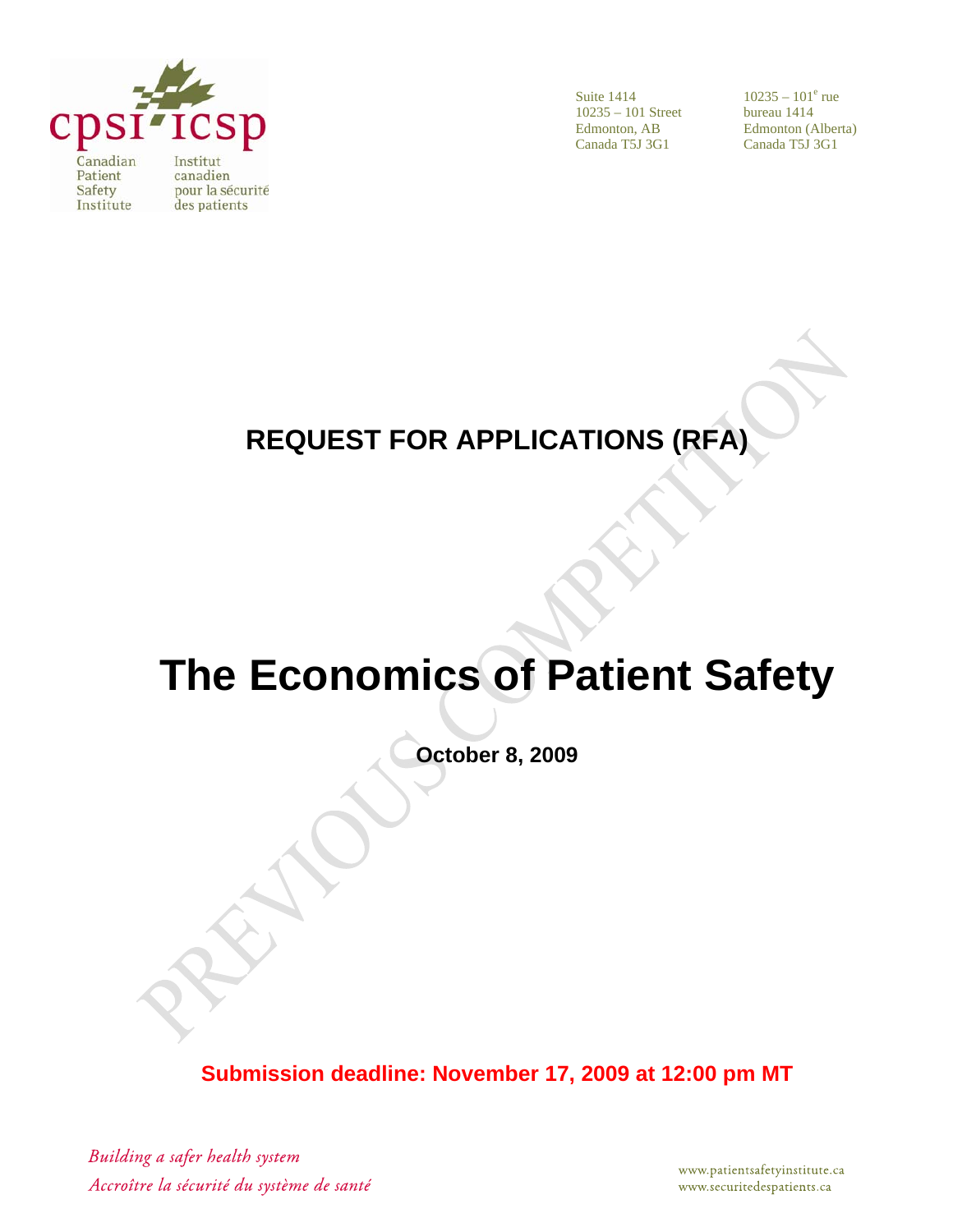

Suite 1414 10235 – 101 Street Edmonton, AB Canada T5J 3G1

 $10235 - 101^e$  rue bureau 1414 Edmonton (Alberta) Canada T5J 3G1

# **REQUEST FOR APPLICATIONS (RFA)**

# **The Economics of Patient Safety**

**October 8, 2009** 

**Submission deadline: November 17, 2009 at 12:00 pm MT**

Building a safer health system Accroître la sécurité du système de santé

www.patientsafetyinstitute.ca www.securitedespatients.ca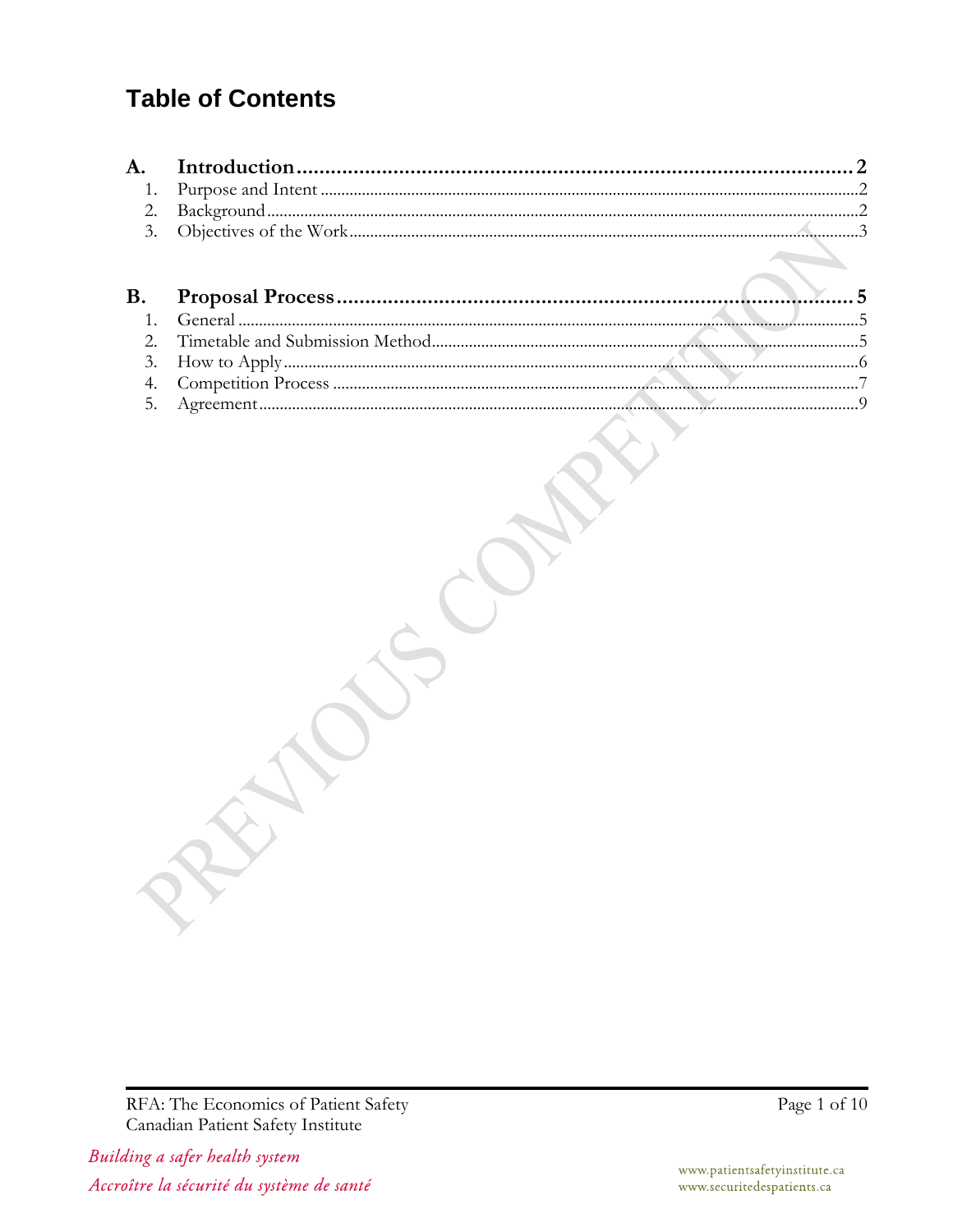### **Table of Contents**

RFA: The Economics of Patient Safety Canadian Patient Safety Institute

Building a safer health system Accroître la sécurité du système de santé Page 1 of 10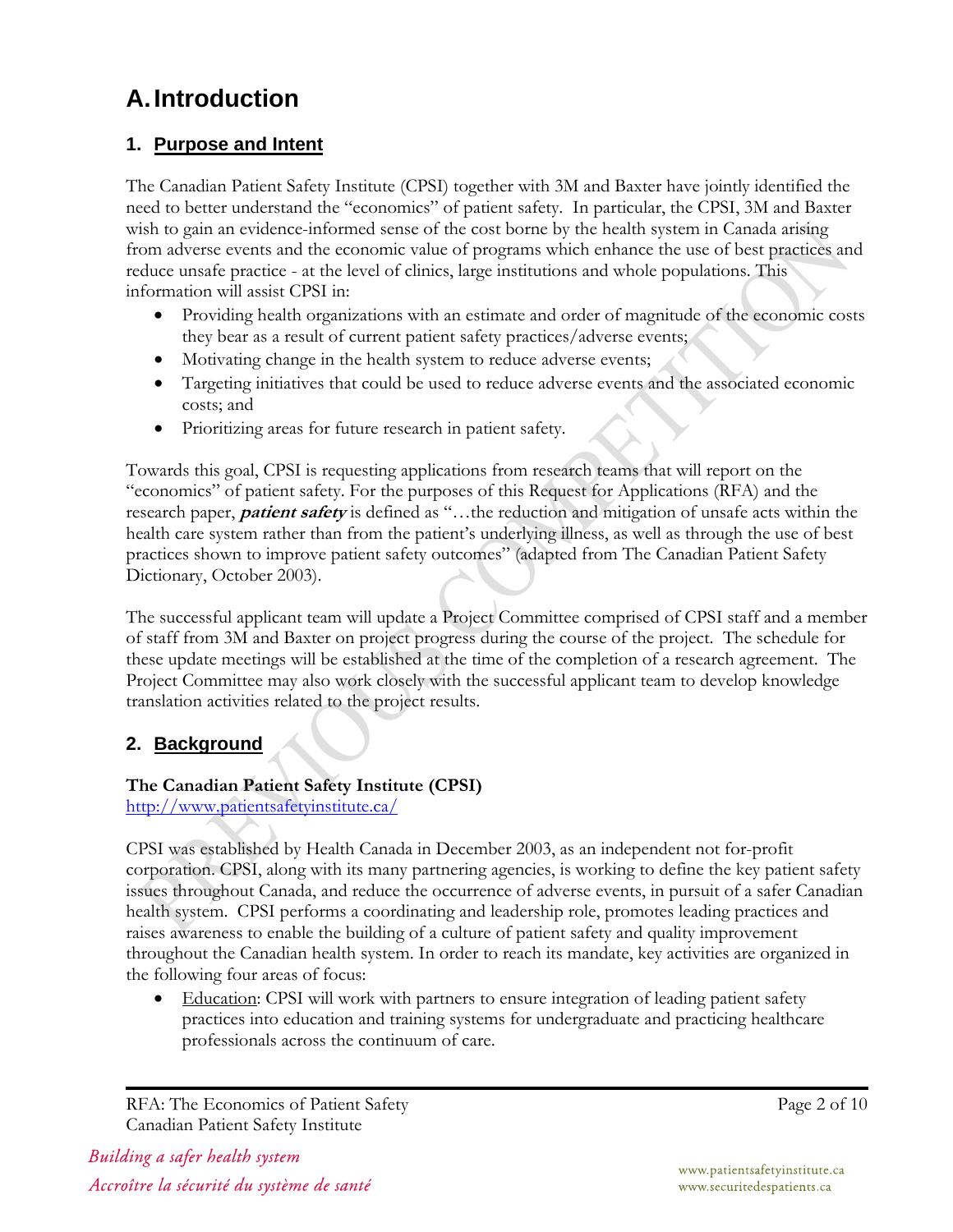## **A. Introduction**

#### **1. Purpose and Intent**

The Canadian Patient Safety Institute (CPSI) together with 3M and Baxter have jointly identified the need to better understand the "economics" of patient safety. In particular, the CPSI, 3M and Baxter wish to gain an evidence-informed sense of the cost borne by the health system in Canada arising from adverse events and the economic value of programs which enhance the use of best practices and reduce unsafe practice - at the level of clinics, large institutions and whole populations. This information will assist CPSI in:

- Providing health organizations with an estimate and order of magnitude of the economic costs they bear as a result of current patient safety practices/adverse events;
- Motivating change in the health system to reduce adverse events;
- Targeting initiatives that could be used to reduce adverse events and the associated economic costs; and
- Prioritizing areas for future research in patient safety.

Towards this goal, CPSI is requesting applications from research teams that will report on the "economics" of patient safety. For the purposes of this Request for Applications (RFA) and the research paper, **patient safety** is defined as "…the reduction and mitigation of unsafe acts within the health care system rather than from the patient's underlying illness, as well as through the use of best practices shown to improve patient safety outcomes" (adapted from The Canadian Patient Safety Dictionary, October 2003).

The successful applicant team will update a Project Committee comprised of CPSI staff and a member of staff from 3M and Baxter on project progress during the course of the project. The schedule for these update meetings will be established at the time of the completion of a research agreement. The Project Committee may also work closely with the successful applicant team to develop knowledge translation activities related to the project results.

#### **2. Background**

#### **The Canadian Patient Safety Institute (CPSI)**

http://www.patientsafetyinstitute.ca/

CPSI was established by Health Canada in December 2003, as an independent not for-profit corporation. CPSI, along with its many partnering agencies, is working to define the key patient safety issues throughout Canada, and reduce the occurrence of adverse events, in pursuit of a safer Canadian health system. CPSI performs a coordinating and leadership role, promotes leading practices and raises awareness to enable the building of a culture of patient safety and quality improvement throughout the Canadian health system. In order to reach its mandate, key activities are organized in the following four areas of focus:

• Education: CPSI will work with partners to ensure integration of leading patient safety practices into education and training systems for undergraduate and practicing healthcare professionals across the continuum of care.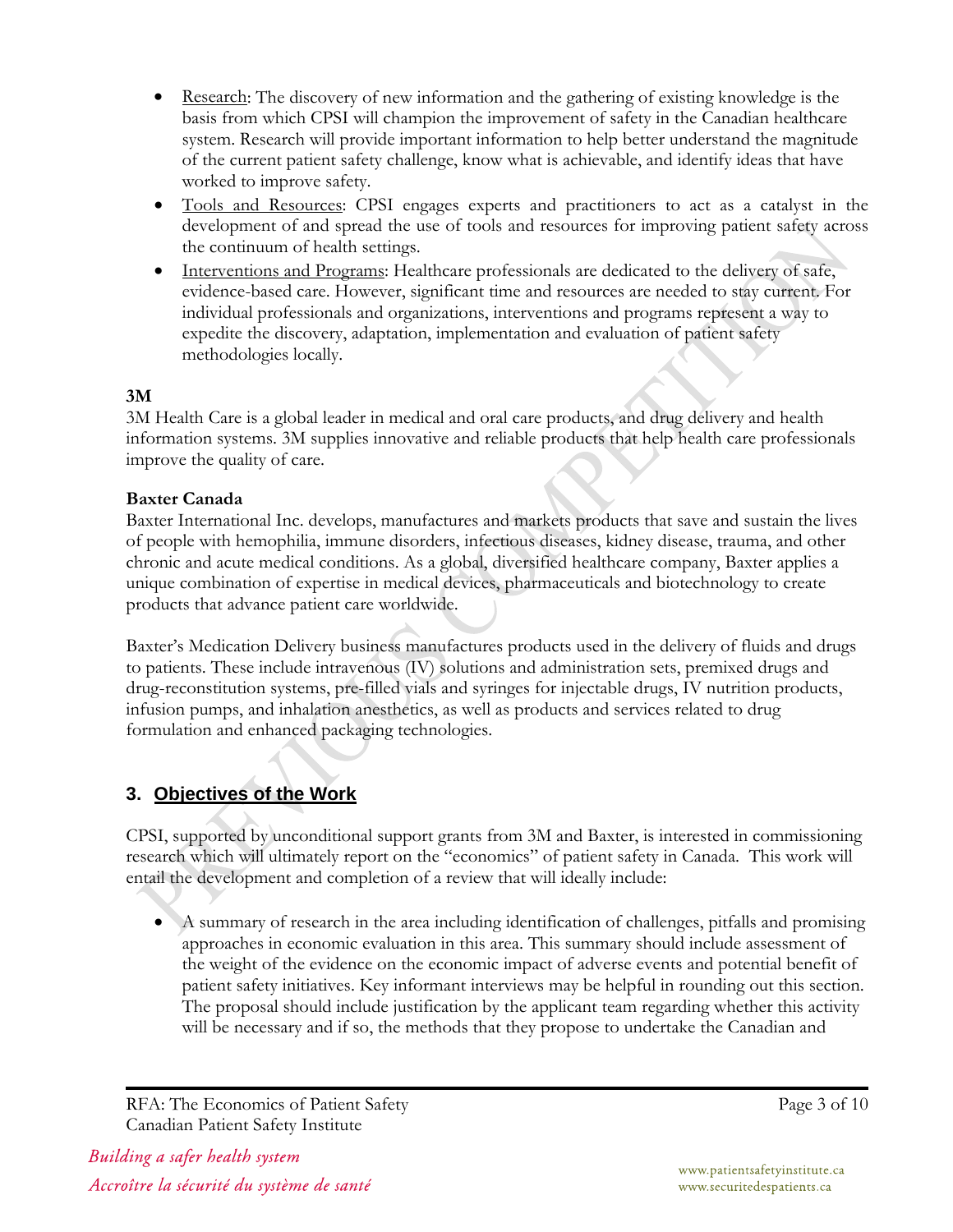- Research: The discovery of new information and the gathering of existing knowledge is the basis from which CPSI will champion the improvement of safety in the Canadian healthcare system. Research will provide important information to help better understand the magnitude of the current patient safety challenge, know what is achievable, and identify ideas that have worked to improve safety.
- Tools and Resources: CPSI engages experts and practitioners to act as a catalyst in the development of and spread the use of tools and resources for improving patient safety across the continuum of health settings.
- Interventions and Programs: Healthcare professionals are dedicated to the delivery of safe, evidence-based care. However, significant time and resources are needed to stay current. For individual professionals and organizations, interventions and programs represent a way to expedite the discovery, adaptation, implementation and evaluation of patient safety methodologies locally.

#### **3M**

3M Health Care is a global leader in medical and oral care products, and drug delivery and health information systems. 3M supplies innovative and reliable products that help health care professionals improve the quality of care.

#### **Baxter Canada**

Baxter International Inc. develops, manufactures and markets products that save and sustain the lives of people with hemophilia, immune disorders, infectious diseases, kidney disease, trauma, and other chronic and acute medical conditions. As a global, diversified healthcare company, Baxter applies a unique combination of expertise in medical devices, pharmaceuticals and biotechnology to create products that advance patient care worldwide.

Baxter's Medication Delivery business manufactures products used in the delivery of fluids and drugs to patients. These include intravenous (IV) solutions and administration sets, premixed drugs and drug-reconstitution systems, pre-filled vials and syringes for injectable drugs, IV nutrition products, infusion pumps, and inhalation anesthetics, as well as products and services related to drug formulation and enhanced packaging technologies.

#### **3. Objectives of the Work**

CPSI, supported by unconditional support grants from 3M and Baxter, is interested in commissioning research which will ultimately report on the "economics" of patient safety in Canada. This work will entail the development and completion of a review that will ideally include:

• A summary of research in the area including identification of challenges, pitfalls and promising approaches in economic evaluation in this area. This summary should include assessment of the weight of the evidence on the economic impact of adverse events and potential benefit of patient safety initiatives. Key informant interviews may be helpful in rounding out this section. The proposal should include justification by the applicant team regarding whether this activity will be necessary and if so, the methods that they propose to undertake the Canadian and

RFA: The Economics of Patient Safety Canadian Patient Safety Institute

Building a safer health system Accroître la sécurité du système de santé Page 3 of 10

www.patientsafetyinstitute.ca www.securitedespatients.ca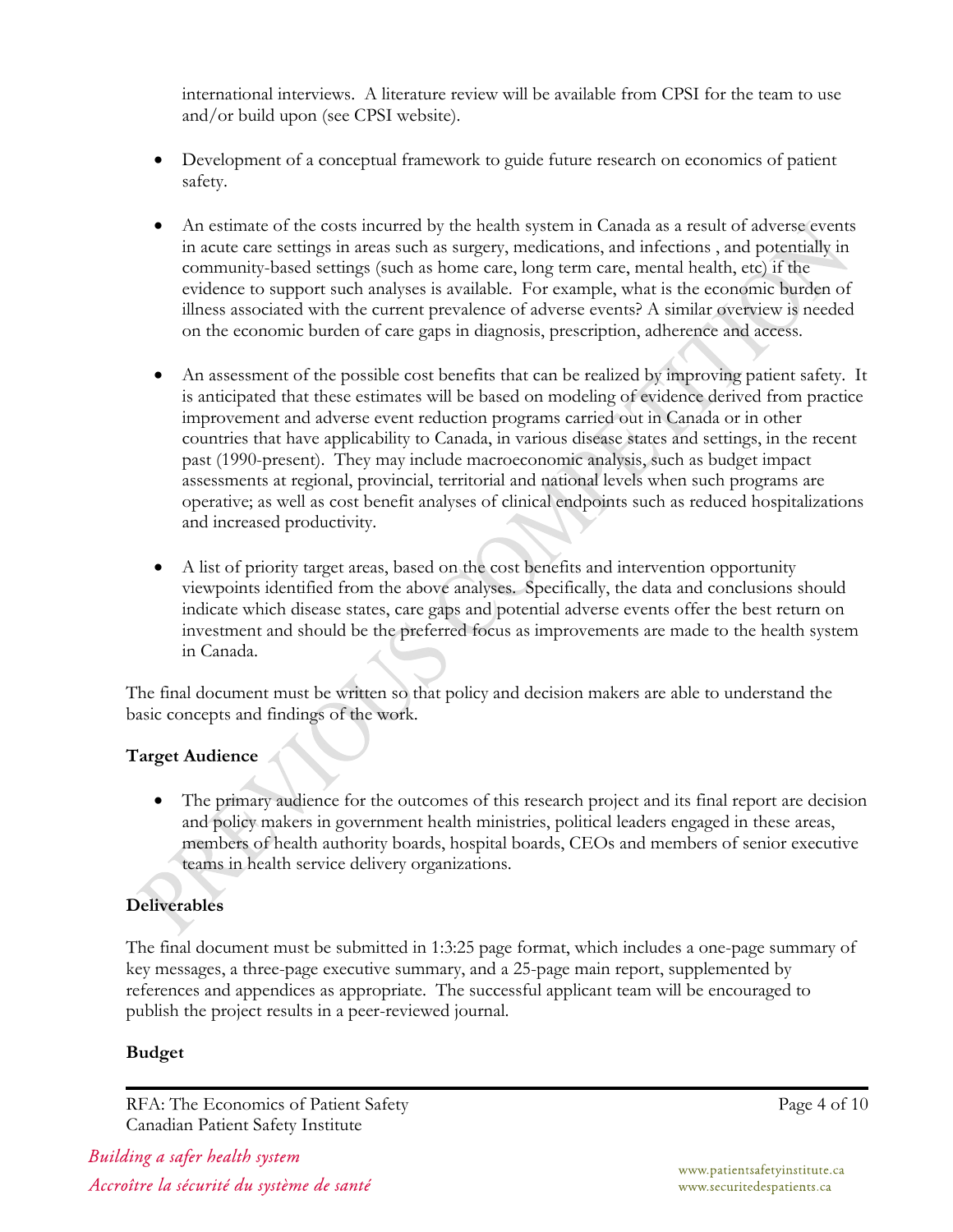international interviews. A literature review will be available from CPSI for the team to use and/or build upon (see CPSI website).

- Development of a conceptual framework to guide future research on economics of patient safety.
- An estimate of the costs incurred by the health system in Canada as a result of adverse events in acute care settings in areas such as surgery, medications, and infections , and potentially in community-based settings (such as home care, long term care, mental health, etc) if the evidence to support such analyses is available. For example, what is the economic burden of illness associated with the current prevalence of adverse events? A similar overview is needed on the economic burden of care gaps in diagnosis, prescription, adherence and access.
- An assessment of the possible cost benefits that can be realized by improving patient safety. It is anticipated that these estimates will be based on modeling of evidence derived from practice improvement and adverse event reduction programs carried out in Canada or in other countries that have applicability to Canada, in various disease states and settings, in the recent past (1990-present). They may include macroeconomic analysis, such as budget impact assessments at regional, provincial, territorial and national levels when such programs are operative; as well as cost benefit analyses of clinical endpoints such as reduced hospitalizations and increased productivity.
- A list of priority target areas, based on the cost benefits and intervention opportunity viewpoints identified from the above analyses. Specifically, the data and conclusions should indicate which disease states, care gaps and potential adverse events offer the best return on investment and should be the preferred focus as improvements are made to the health system in Canada.

The final document must be written so that policy and decision makers are able to understand the basic concepts and findings of the work.

#### **Target Audience**

The primary audience for the outcomes of this research project and its final report are decision and policy makers in government health ministries, political leaders engaged in these areas, members of health authority boards, hospital boards, CEOs and members of senior executive teams in health service delivery organizations.

#### **Deliverables**

The final document must be submitted in 1:3:25 page format, which includes a one-page summary of key messages, a three-page executive summary, and a 25-page main report, supplemented by references and appendices as appropriate. The successful applicant team will be encouraged to publish the project results in a peer-reviewed journal.

#### **Budget**

RFA: The Economics of Patient Safety Canadian Patient Safety Institute

Building a safer health system Accroître la sécurité du système de santé Page 4 of 10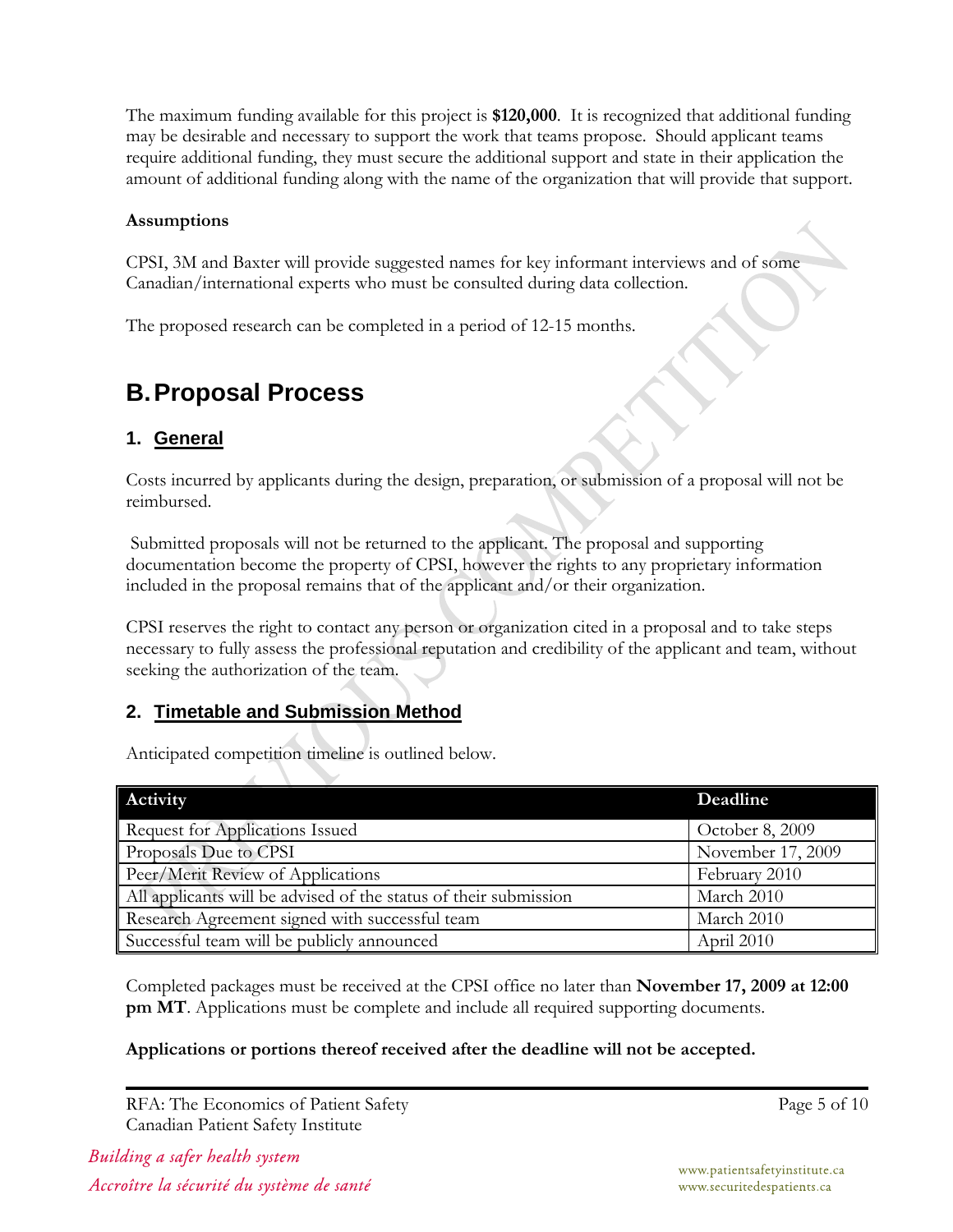The maximum funding available for this project is **\$120,000**. It is recognized that additional funding may be desirable and necessary to support the work that teams propose. Should applicant teams require additional funding, they must secure the additional support and state in their application the amount of additional funding along with the name of the organization that will provide that support.

#### **Assumptions**

CPSI, 3M and Baxter will provide suggested names for key informant interviews and of some Canadian/international experts who must be consulted during data collection.

The proposed research can be completed in a period of 12-15 months.

### **B. Proposal Process**

#### **1. General**

Costs incurred by applicants during the design, preparation, or submission of a proposal will not be reimbursed.

 Submitted proposals will not be returned to the applicant. The proposal and supporting documentation become the property of CPSI, however the rights to any proprietary information included in the proposal remains that of the applicant and/or their organization.

CPSI reserves the right to contact any person or organization cited in a proposal and to take steps necessary to fully assess the professional reputation and credibility of the applicant and team, without seeking the authorization of the team.

#### **2. Timetable and Submission Method**

Anticipated competition timeline is outlined below.

| Activity                                                         | Deadline          |
|------------------------------------------------------------------|-------------------|
| Request for Applications Issued                                  | October 8, 2009   |
| Proposals Due to CPSI                                            | November 17, 2009 |
| Peer/Merit Review of Applications                                | February 2010     |
| All applicants will be advised of the status of their submission | March 2010        |
| Research Agreement signed with successful team                   | March 2010        |
| Successful team will be publicly announced                       | April 2010        |

Completed packages must be received at the CPSI office no later than **November 17, 2009 at 12:00 pm MT**. Applications must be complete and include all required supporting documents.

#### **Applications or portions thereof received after the deadline will not be accepted.**

RFA: The Economics of Patient Safety Canadian Patient Safety Institute

Building a safer health system Accroître la sécurité du système de santé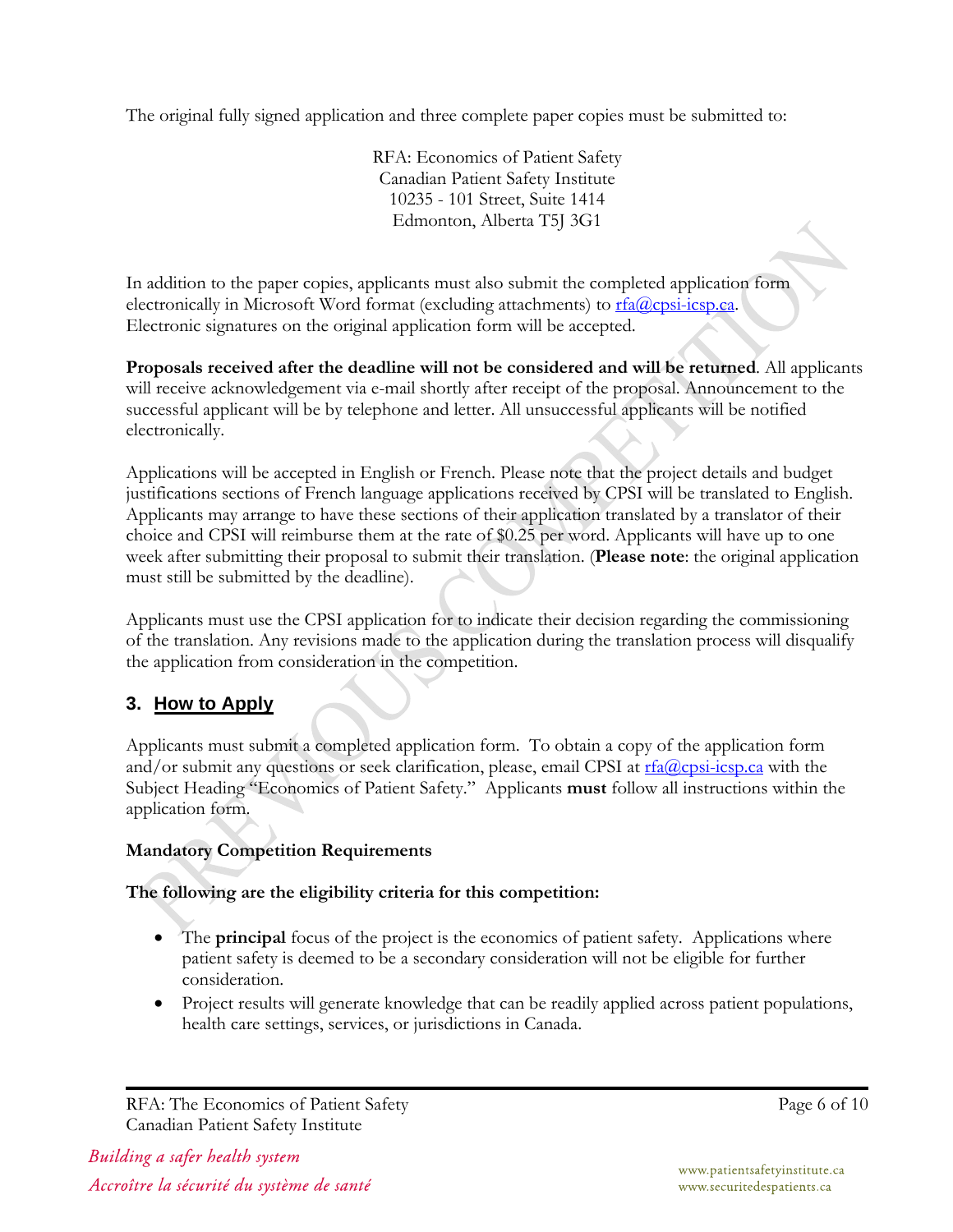The original fully signed application and three complete paper copies must be submitted to:

RFA: Economics of Patient Safety Canadian Patient Safety Institute 10235 - 101 Street, Suite 1414 Edmonton, Alberta T5J 3G1

In addition to the paper copies, applicants must also submit the completed application form electronically in Microsoft Word format (excluding attachments) to  $rfa@cpsi$ -icsp.ca. Electronic signatures on the original application form will be accepted.

**Proposals received after the deadline will not be considered and will be returned**. All applicants will receive acknowledgement via e-mail shortly after receipt of the proposal. Announcement to the successful applicant will be by telephone and letter. All unsuccessful applicants will be notified electronically.

Applications will be accepted in English or French. Please note that the project details and budget justifications sections of French language applications received by CPSI will be translated to English. Applicants may arrange to have these sections of their application translated by a translator of their choice and CPSI will reimburse them at the rate of \$0.25 per word. Applicants will have up to one week after submitting their proposal to submit their translation. (**Please note**: the original application must still be submitted by the deadline).

Applicants must use the CPSI application for to indicate their decision regarding the commissioning of the translation. Any revisions made to the application during the translation process will disqualify the application from consideration in the competition.

#### **3. How to Apply**

Applicants must submit a completed application form. To obtain a copy of the application form and/or submit any questions or seek clarification, please, email CPSI at  $rfa@cpsi-csp.ca$  with the Subject Heading "Economics of Patient Safety." Applicants **must** follow all instructions within the application form.

#### **Mandatory Competition Requirements**

**The following are the eligibility criteria for this competition:** 

- The **principal** focus of the project is the economics of patient safety. Applications where patient safety is deemed to be a secondary consideration will not be eligible for further consideration.
- Project results will generate knowledge that can be readily applied across patient populations, health care settings, services, or jurisdictions in Canada.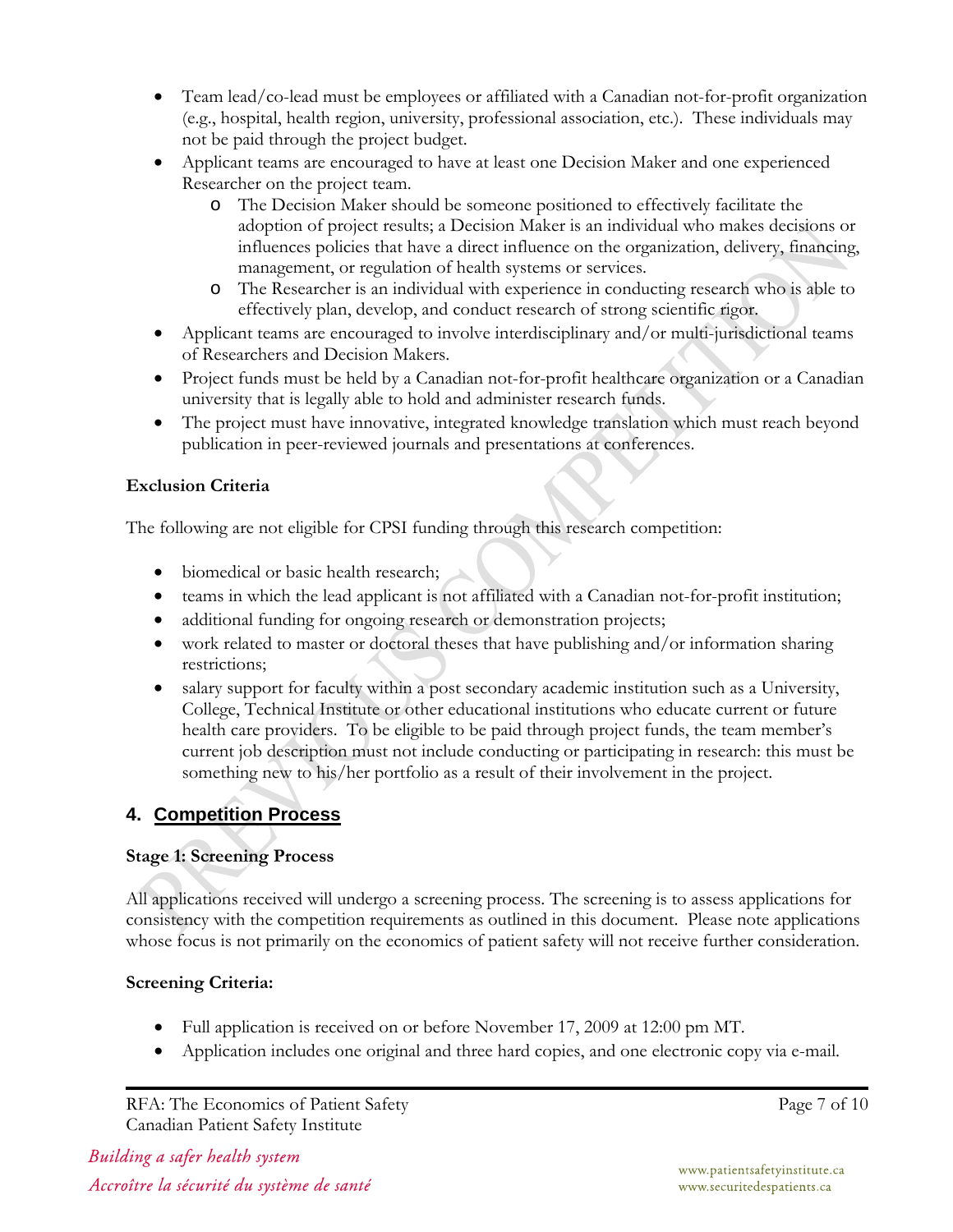- Team lead/co-lead must be employees or affiliated with a Canadian not-for-profit organization (e.g., hospital, health region, university, professional association, etc.). These individuals may not be paid through the project budget.
- Applicant teams are encouraged to have at least one Decision Maker and one experienced Researcher on the project team.
	- o The Decision Maker should be someone positioned to effectively facilitate the adoption of project results; a Decision Maker is an individual who makes decisions or influences policies that have a direct influence on the organization, delivery, financing, management, or regulation of health systems or services.
	- o The Researcher is an individual with experience in conducting research who is able to effectively plan, develop, and conduct research of strong scientific rigor.
- Applicant teams are encouraged to involve interdisciplinary and/or multi-jurisdictional teams of Researchers and Decision Makers.
- Project funds must be held by a Canadian not-for-profit healthcare organization or a Canadian university that is legally able to hold and administer research funds.
- The project must have innovative, integrated knowledge translation which must reach beyond publication in peer-reviewed journals and presentations at conferences.

#### **Exclusion Criteria**

The following are not eligible for CPSI funding through this research competition:

- biomedical or basic health research;
- teams in which the lead applicant is not affiliated with a Canadian not-for-profit institution;
- additional funding for ongoing research or demonstration projects;
- work related to master or doctoral theses that have publishing and/or information sharing restrictions;
- salary support for faculty within a post secondary academic institution such as a University, College, Technical Institute or other educational institutions who educate current or future health care providers. To be eligible to be paid through project funds, the team member's current job description must not include conducting or participating in research: this must be something new to his/her portfolio as a result of their involvement in the project.

#### **4. Competition Process**

#### **Stage 1: Screening Process**

All applications received will undergo a screening process. The screening is to assess applications for consistency with the competition requirements as outlined in this document. Please note applications whose focus is not primarily on the economics of patient safety will not receive further consideration.

#### **Screening Criteria:**

- Full application is received on or before November 17, 2009 at 12:00 pm MT.
- Application includes one original and three hard copies, and one electronic copy via e-mail.

RFA: The Economics of Patient Safety Canadian Patient Safety Institute

Building a safer health system Accroître la sécurité du système de santé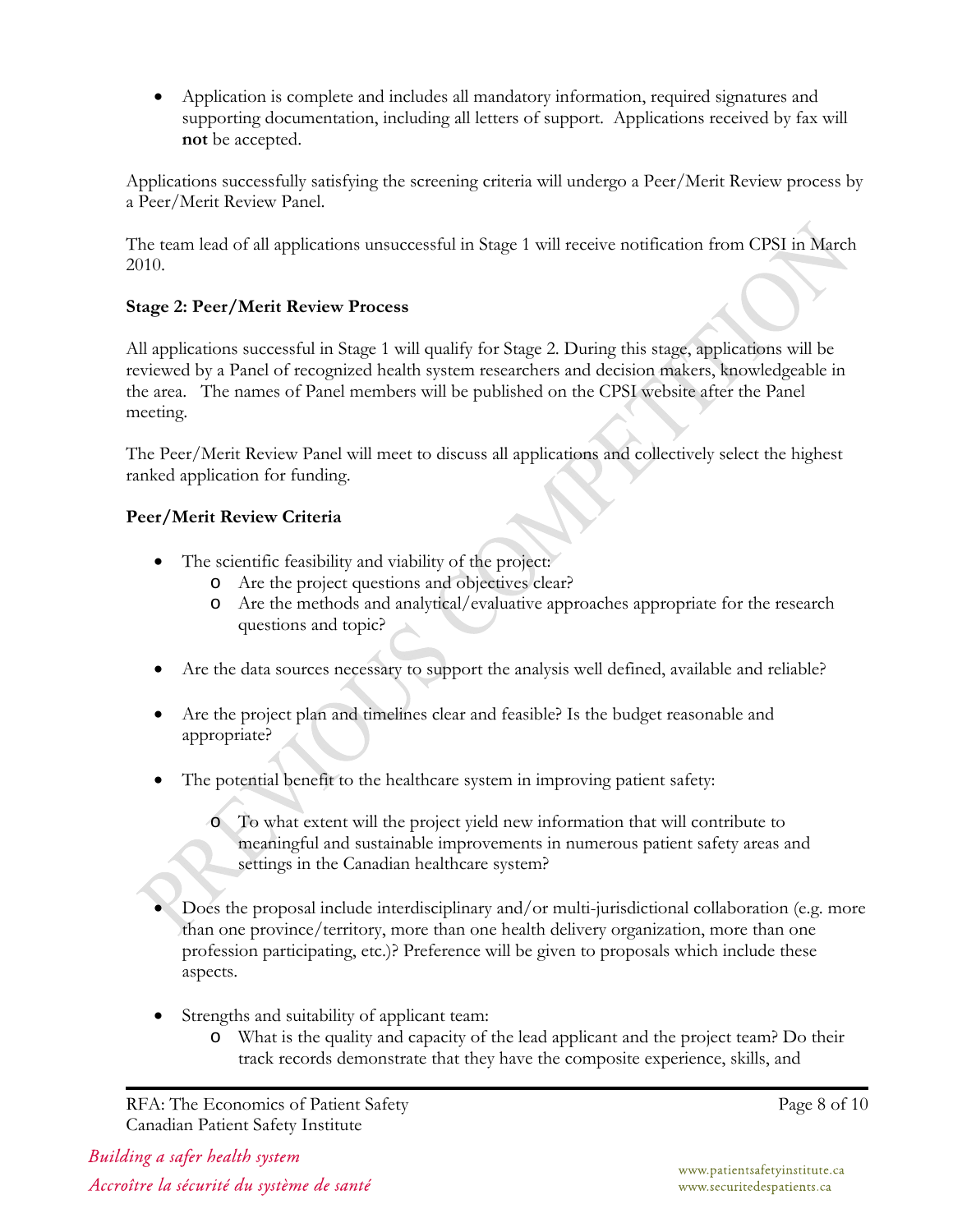• Application is complete and includes all mandatory information, required signatures and supporting documentation, including all letters of support. Applications received by fax will **not** be accepted.

Applications successfully satisfying the screening criteria will undergo a Peer/Merit Review process by a Peer/Merit Review Panel.

The team lead of all applications unsuccessful in Stage 1 will receive notification from CPSI in March 2010.

#### **Stage 2: Peer/Merit Review Process**

All applications successful in Stage 1 will qualify for Stage 2. During this stage, applications will be reviewed by a Panel of recognized health system researchers and decision makers, knowledgeable in the area. The names of Panel members will be published on the CPSI website after the Panel meeting.

The Peer/Merit Review Panel will meet to discuss all applications and collectively select the highest ranked application for funding.

#### **Peer/Merit Review Criteria**

- The scientific feasibility and viability of the project:
	- o Are the project questions and objectives clear?
	- o Are the methods and analytical/evaluative approaches appropriate for the research questions and topic?
- Are the data sources necessary to support the analysis well defined, available and reliable?
- Are the project plan and timelines clear and feasible? Is the budget reasonable and appropriate?
- The potential benefit to the healthcare system in improving patient safety:
	- o To what extent will the project yield new information that will contribute to meaningful and sustainable improvements in numerous patient safety areas and settings in the Canadian healthcare system?
- Does the proposal include interdisciplinary and/or multi-jurisdictional collaboration (e.g. more than one province/territory, more than one health delivery organization, more than one profession participating, etc.)? Preference will be given to proposals which include these aspects.
- Strengths and suitability of applicant team:
	- o What is the quality and capacity of the lead applicant and the project team? Do their track records demonstrate that they have the composite experience, skills, and

RFA: The Economics of Patient Safety Canadian Patient Safety Institute

Building a safer health system Accroître la sécurité du système de santé Page 8 of 10